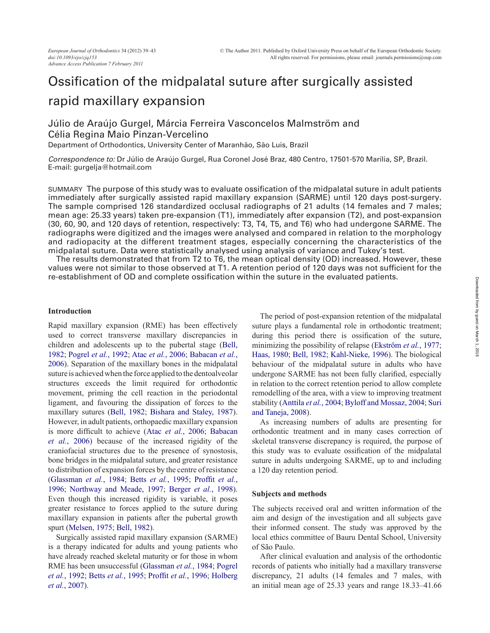# Ossification of the midpalatal suture after surgically assisted rapid maxillary expansion

# Júlio de Araújo Gurgel, Márcia Ferreira Vasconcelos Malmström and Célia Regina Maio Pinzan-Vercelino

Department of Orthodontics, University Center of Maranhão, São Luis, Brazil

*Correspondence to:* Dr Júlio de Araújo Gurgel, Rua Coronel José Braz, 480 Centro, 17501-570 Marília, SP, Brazil. E-mail: gurgelja@hotmail.com

SUMMARY The purpose of this study was to evaluate ossification of the midpalatal suture in adult patients immediately after surgically assisted rapid maxillary expansion (SARME) until 120 days post-surgery. The sample comprised 126 standardized occlusal radiographs of 21 adults (14 females and 7 males; mean age: 25.33 years) taken pre-expansion (T1), immediately after expansion (T2), and post-expansion (30, 60, 90, and 120 days of retention, respectively: T3, T4, T5, and T6) who had undergone SARME. The radiographs were digitized and the images were analysed and compared in relation to the morphology and radiopacity at the different treatment stages, especially concerning the characteristics of the midpalatal suture. Data were statistically analysed using analysis of variance and Tukey's test.

The results demonstrated that from T2 to T6, the mean optical density (OD) increased. However, these values were not similar to those observed at T1. A retention period of 120 days was not sufficient for the re-establishment of OD and complete ossification within the suture in the evaluated patients.

#### **Introduction**

Rapid maxillary expansion (RME) has been effectively used to correct transverse maxillary discrepancies in children and adolescents up to the pubertal stage ([Bell,](#page-4-0) [1982](#page-4-0); [Pogrel](#page-4-1) *et al.*, 1992; Atac *et al.*[, 2006;](#page-4-2) [Babacan](#page-4-3) *et al.*, [2006](#page-4-3)). Separation of the maxillary bones in the midpalatal suture is achieved when the force applied to the dentoalveolar structures exceeds the limit required for orthodontic movement, priming the cell reaction in the periodontal ligament, and favouring the dissipation of forces to the maxillary sutures ([Bell, 1982](#page-4-0); [Bishara and Staley, 1987](#page-4-4)). However, in adult patients, orthopaedic maxillary expansion is more difficult to achieve (Atac *et al.*[, 2006](#page-4-2); [Babacan](#page-4-3) *et al.*[, 2006](#page-4-3)) because of the increased rigidity of the craniofacial structures due to the presence of synostosis, bone bridges in the midpalatal suture, and greater resistance to distribution of expansion forces by the centre of resistance [\(Glassman](#page-4-5) *et al.*, 1984; Betts *et al.*[, 1995](#page-4-6); [Proffit](#page-4-7) *et al.*, [1996](#page-4-7); [Northway and Meade, 1997](#page-4-8); [Berger](#page-4-9) *et al.*, 1998). Even though this increased rigidity is variable, it poses greater resistance to forces applied to the suture during maxillary expansion in patients after the pubertal growth spurt ([Melsen, 1975](#page-4-10); [Bell, 1982](#page-4-0)).

Surgically assisted rapid maxillary expansion (SARME) is a therapy indicated for adults and young patients who have already reached skeletal maturity or for those in whom RME has been unsuccessful ([Glassman](#page-4-5) *et al.*, 1984; [Pogrel](#page-4-1) *et al.*[, 1992;](#page-4-1) Betts *et al.*[, 1995;](#page-4-6) [Proffit](#page-4-7) *et al.*, 1996; [Holberg](#page-4-11) *et al.*[, 2007](#page-4-11)).

The period of post-expansion retention of the midpalatal suture plays a fundamental role in orthodontic treatment; during this period there is ossification of the suture, minimizing the possibility of relapse ([Ekström](#page-4-12) *et al.*, 1977; [Haas, 1980](#page-4-13); [Bell, 1982;](#page-4-0) [Kahl-Nieke, 1996](#page-4-14)). The biological behaviour of the midpalatal suture in adults who have undergone SARME has not been fully clarified, especially in relation to the correct retention period to allow complete remodelling of the area, with a view to improving treatment stability ([Anttila](#page-4-15) *et al.*, 2004; [Byloff and Mossaz, 2004;](#page-4-16) [Suri](#page-4-17) [and Taneja, 2008](#page-4-17)).

As increasing numbers of adults are presenting for orthodontic treatment and in many cases correction of skeletal transverse discrepancy is required, the purpose of this study was to evaluate ossification of the midpalatal suture in adults undergoing SARME, up to and including a 120 day retention period.

#### **Subjects and methods**

The subjects received oral and written information of the aim and design of the investigation and all subjects gave their informed consent. The study was approved by the local ethics committee of Bauru Dental School, University of São Paulo.

After clinical evaluation and analysis of the orthodontic records of patients who initially had a maxillary transverse discrepancy, 21 adults (14 females and 7 males, with an initial mean age of 25.33 years and range 18.33–41.66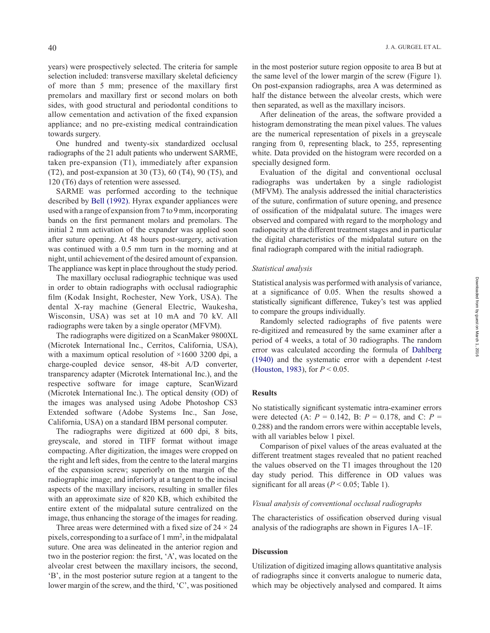years) were prospectively selected. The criteria for sample selection included: transverse maxillary skeletal deficiency of more than 5 mm; presence of the maxillary first premolars and maxillary first or second molars on both sides, with good structural and periodontal conditions to allow cementation and activation of the fixed expansion appliance; and no pre-existing medical contraindication towards surgery.

One hundred and twenty-six standardized occlusal radiographs of the 21 adult patients who underwent SARME, taken pre-expansion (T1), immediately after expansion (T2), and post-expansion at 30 (T3), 60 (T4), 90 (T5), and 120 (T6) days of retention were assessed.

SARME was performed according to the technique described by [Bell \(1992\)](#page-4-18). Hyrax expander appliances were used with a range of expansion from 7 to 9 mm, incorporating bands on the first permanent molars and premolars. The initial 2 mm activation of the expander was applied soon after suture opening. At 48 hours post-surgery, activation was continued with a 0.5 mm turn in the morning and at night, until achievement of the desired amount of expansion. The appliance was kept in place throughout the study period.

The maxillary occlusal radiographic technique was used in order to obtain radiographs with occlusal radiographic film (Kodak Insight, Rochester, New York, USA). The dental X-ray machine (General Electric, Waukesha, Wisconsin, USA) was set at 10 mA and 70 kV. All radiographs were taken by a single operator (MFVM).

The radiographs were digitized on a ScanMaker 9800XL (Microtek International Inc., Cerritos, California, USA), with a maximum optical resolution of  $\times 1600$  3200 dpi, a charge-coupled device sensor, 48-bit A/D converter, transparency adapter (Microtek International Inc.), and the respective software for image capture, ScanWizard (Microtek International Inc.). The optical density (OD) of the images was analysed using Adobe Photoshop CS3 Extended software (Adobe Systems Inc., San Jose, California, USA) on a standard IBM personal computer.

The radiographs were digitized at 600 dpi, 8 bits, greyscale, and stored in TIFF format without image compacting. After digitization, the images were cropped on the right and left sides, from the centre to the lateral margins of the expansion screw; superiorly on the margin of the radiographic image; and inferiorly at a tangent to the incisal aspects of the maxillary incisors, resulting in smaller files with an approximate size of 820 KB, which exhibited the entire extent of the midpalatal suture centralized on the image, thus enhancing the storage of the images for reading.

Three areas were determined with a fixed size of  $24 \times 24$ pixels, corresponding to a surface of 1 mm2, in the midpalatal suture. One area was delineated in the anterior region and two in the posterior region: the first, 'A', was located on the alveolar crest between the maxillary incisors, the second, 'B', in the most posterior suture region at a tangent to the lower margin of the screw, and the third, 'C', was positioned in the most posterior suture region opposite to area B but at the same level of the lower margin of the screw (Figure 1). On post-expansion radiographs, area A was determined as half the distance between the alveolar crests, which were then separated, as well as the maxillary incisors.

After delineation of the areas, the software provided a histogram demonstrating the mean pixel values. The values are the numerical representation of pixels in a greyscale ranging from 0, representing black, to 255, representing white. Data provided on the histogram were recorded on a specially designed form.

Evaluation of the digital and conventional occlusal radiographs was undertaken by a single radiologist (MFVM). The analysis addressed the initial characteristics of the suture, confirmation of suture opening, and presence of ossification of the midpalatal suture. The images were observed and compared with regard to the morphology and radiopacity at the different treatment stages and in particular the digital characteristics of the midpalatal suture on the final radiograph compared with the initial radiograph.

#### *Statistical analysis*

Statistical analysis was performed with analysis of variance, at a significance of 0.05. When the results showed a statistically significant difference, Tukey's test was applied to compare the groups individually.

Randomly selected radiographs of five patents were re-digitized and remeasured by the same examiner after a period of 4 weeks, a total of 30 radiographs. The random error was calculated according the formula of [Dahlberg](#page-4-19) [\(1940\)](#page-4-19) and the systematic error with a dependent *t*-test [\(Houston, 1983](#page-4-20)), for *P* < 0.05.

#### **Results**

No statistically significant systematic intra-examiner errors were detected (A:  $P = 0.142$ , B:  $P = 0.178$ , and C:  $P =$ 0.288) and the random errors were within acceptable levels, with all variables below 1 pixel.

Comparison of pixel values of the areas evaluated at the different treatment stages revealed that no patient reached the values observed on the T1 images throughout the 120 day study period. This difference in OD values was significant for all areas ( $P < 0.05$ ; Table 1).

## *Visual analysis of conventional occlusal radiographs*

The characteristics of ossification observed during visual analysis of the radiographs are shown in Figures 1A–1F.

### **Discussion**

Utilization of digitized imaging allows quantitative analysis of radiographs since it converts analogue to numeric data, which may be objectively analysed and compared. It aims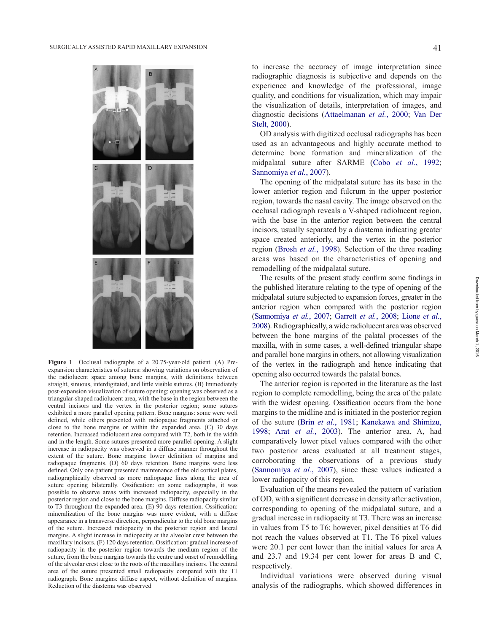

**Figure 1** Occlusal radiographs of a 20.75-year-old patient. (A) Preexpansion characteristics of sutures: showing variations on observation of the radiolucent space among bone margins, with definitions between straight, sinuous, interdigitated, and little visible sutures. (B) Immediately post-expansion visualization of suture opening: opening was observed as a triangular-shaped radiolucent area, with the base in the region between the central incisors and the vertex in the posterior region; some sutures exhibited a more parallel opening pattern. Bone margins: some were well defined, while others presented with radiopaque fragments attached or close to the bone margins or within the expanded area. (C) 30 days retention. Increased radiolucent area compared with T2, both in the width and in the length. Some sutures presented more parallel opening. A slight increase in radiopacity was observed in a diffuse manner throughout the extent of the suture. Bone margins: lower definition of margins and radiopaque fragments. (D) 60 days retention. Bone margins were less defined. Only one patient presented maintenance of the old cortical plates, radiographically observed as more radiopaque lines along the area of suture opening bilaterally. Ossification: on some radiographs, it was possible to observe areas with increased radiopacity, especially in the posterior region and close to the bone margins. Diffuse radiopacity similar to T3 throughout the expanded area. (E) 90 days retention. Ossification: mineralization of the bone margins was more evident, with a diffuse appearance in a transverse direction, perpendicular to the old bone margins of the suture. Increased radiopacity in the posterior region and lateral margins. A slight increase in radiopacity at the alveolar crest between the maxillary incisors. (F) 120 days retention. Ossification: gradual increase of radiopacity in the posterior region towards the medium region of the suture, from the bone margins towards the centre and onset of remodelling of the alveolar crest close to the roots of the maxillary incisors. The central area of the suture presented small radiopacity compared with the T1 radiograph. Bone margins: diffuse aspect, without definition of margins. Reduction of the diastema was observed

to increase the accuracy of image interpretation since radiographic diagnosis is subjective and depends on the experience and knowledge of the professional, image quality, and conditions for visualization, which may impair the visualization of details, interpretation of images, and diagnostic decisions ([Attaelmanan](#page-4-21) *et al.*, 2000; [Van Der](#page-4-22) [Stelt, 2000](#page-4-22)).

OD analysis with digitized occlusal radiographs has been used as an advantageous and highly accurate method to determine bone formation and mineralization of the midpalatal suture after SARME (Cobo *et al.*[, 1992](#page-4-23); [Sannomiya](#page-4-24) *et al.*, 2007).

The opening of the midpalatal suture has its base in the lower anterior region and fulcrum in the upper posterior region, towards the nasal cavity. The image observed on the occlusal radiograph reveals a V-shaped radiolucent region, with the base in the anterior region between the central incisors, usually separated by a diastema indicating greater space created anteriorly, and the vertex in the posterior region [\(Brosh](#page-4-25) *et al.*, 1998). Selection of the three reading areas was based on the characteristics of opening and remodelling of the midpalatal suture.

The results of the present study confirm some findings in the published literature relating to the type of opening of the midpalatal suture subjected to expansion forces, greater in the anterior region when compared with the posterior region [\(Sannomiya](#page-4-24) *et al.*, 2007; [Garrett](#page-4-26) *et al.*, 2008; [Lione](#page-4-27) *et al.*, [2008\)](#page-4-27). Radiographically, a wide radiolucent area was observed between the bone margins of the palatal processes of the maxilla, with in some cases, a well-defined triangular shape and parallel bone margins in others, not allowing visualization of the vertex in the radiograph and hence indicating that opening also occurred towards the palatal bones.

The anterior region is reported in the literature as the last region to complete remodelling, being the area of the palate with the widest opening. Ossification occurs from the bone margins to the midline and is initiated in the posterior region of the suture (Brin *et al.*[, 1981](#page-4-28); [Kanekawa and Shimizu,](#page-4-29) [1998](#page-4-29); Arat *et al.*[, 2003\)](#page-4-30). The anterior area, A, had comparatively lower pixel values compared with the other two posterior areas evaluated at all treatment stages, corroborating the observations of a previous study [\(Sannomiya](#page-4-24) *et al.*, 2007), since these values indicated a lower radiopacity of this region.

Evaluation of the means revealed the pattern of variation of OD, with a significant decrease in density after activation, corresponding to opening of the midpalatal suture, and a gradual increase in radiopacity at T3. There was an increase in values from T5 to T6; however, pixel densities at T6 did not reach the values observed at T1. The T6 pixel values were 20.1 per cent lower than the initial values for area A and 23.7 and 19.34 per cent lower for areas B and C, respectively.

Individual variations were observed during visual analysis of the radiographs, which showed differences in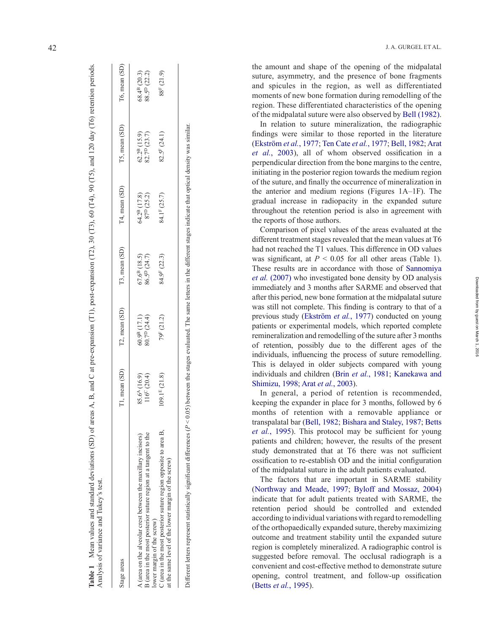| Analysis of variance and Tukey's test.                                                                                                                                                              |                                          |                                       |                                     |                                                 |                                               |                                               |
|-----------------------------------------------------------------------------------------------------------------------------------------------------------------------------------------------------|------------------------------------------|---------------------------------------|-------------------------------------|-------------------------------------------------|-----------------------------------------------|-----------------------------------------------|
| Stage areas                                                                                                                                                                                         | T1, mean (SD)                            | T2, mean (SD)                         | T3, mean (SD)                       | T4, mean (SD)                                   | T5, mean (SD)                                 | T6, mean (SD)                                 |
| B (area in the most posterior suture region at a tangent to the<br>A (area on the alveolar crest between the maxillary incisors)                                                                    | $85.6^{A}(16.9)$<br>$116^{\circ} (20.4)$ | $80.7D$ (24.4)<br>$60.9^{B}$ $(17.1)$ | $67.6^{B}$ (18.5)<br>$86.5^D(24.7)$ | 64.2 <sup>B</sup> (17.8)<br>$87^{\rm D}$ (25.2) | $62.2^{B}$ (15.9)<br>82.7 <sup>D</sup> (23.7) | $68.4^{B}$ (20.3)<br>88.5 <sup>D</sup> (22.2) |
| C (area in the most posterior suture region opposite to area B,<br>at the same level of the lower margin of the screw)<br>ower margin of the screw)                                                 | $109.1^{E}$ (21.8)                       | 79F (21.2)                            | 84.9 <sup>F</sup> (22.3)            | 84.1 <sup>F</sup> (25.7)                        | $82.5$ <sup>F</sup> $(24.1)$                  | 88 <sup>F</sup> (21.9)                        |
| ) ifferent letters represent statistically significant differences ( $P < 0.05$ ) between the stages evaluated. The same letters in the different stages indicate that optical density was similar. |                                          |                                       |                                     |                                                 |                                               |                                               |

**Table 1** Mean values and standard deviations (SD) of areas A, B, and C at pre-expansion (T1), post-expansion (T2), 30 (T3), 60 (T4), 90 (T5), and 120 day (T6) retention periods.

Mean values and standard deviations (SD) of areas A, B, and C at pre-expansion (T1), post-expansion (T2), 30 (T3), 60 (T4), 90 (T5), and 120 day (T6) retention periods.

42 J. A. GURGEL ET AL.

the amount and shape of the opening of the midpalatal suture, asymmetry, and the presence of bone fragments and spicules in the region, as well as differentiated moments of new bone formation during remodelling of the region. These differentiated characteristics of the opening of the midpalatal suture were also observed by [Bell \(1982\)](#page-4-0) .

In relation to suture mineralization, the radiographic findings were similar to those reported in the literature [\(Ekström](#page-4-12) *et al.*, 1977; [Ten Cate](#page-4-31) *et al.*, 1977; [Bell, 1982](#page-4-0); [Arat](#page-4-30) *et al.*[, 2003](#page-4-30)), all of whom observed ossification in a perpendicular direction from the bone margins to the centre, initiating in the posterior region towards the medium region of the suture, and finally the occurrence of mineralization in the anterior and medium regions (Figures 1A–1F). The gradual increase in radiopacity in the expanded suture throughout the retention period is also in agreement with the reports of those authors.

Comparison of pixel values of the areas evaluated at the different treatment stages revealed that the mean values at T6 had not reached the T1 values. This difference in OD values was significant, at  $P < 0.05$  for all other areas (Table 1). These results are in accordance with those of [Sannomiya](#page-4-24) *et al.* [\(2007\)](#page-4-24) who investigated bone density by OD analysis immediately and 3 months after SARME and observed that after this period, new bone formation at the midpalatal suture was still not complete. This finding is contrary to that of a previous study [\(Ekström](#page-4-12) *et al.*, 1977) conducted on young patients or experimental models, which reported complete remineralization and remodelling of the suture after 3 months of retention, possibly due to the different ages of the individuals, influencing the process of suture remodelling. This is delayed in older subjects compared with young individuals and children (Brin *et al.*[, 1981](#page-4-28); [Kanekawa and](#page-4-29) [Shimizu, 1998;](#page-4-29) Arat *et al.*[, 2003](#page-4-30)).

In general, a period of retention is recommended, keeping the expander in place for 3 months, followed by 6 months of retention with a removable appliance or transpalatal bar ([Bell, 1982](#page-4-0); [Bishara and Staley, 1987;](#page-4-4) [Betts](#page-4-6) *et al.*[, 1995](#page-4-6)). This protocol may be sufficient for young patients and children; however, the results of the present study demonstrated that at T6 there was not sufficient ossification to re-establish OD and the initial configuration of the midpalatal suture in the adult patients evaluated.

The factors that are important in SARME stability [\(Northway and Meade, 1997](#page-4-8); [Byloff and Mossaz, 2004\)](#page-4-16) indicate that for adult patients treated with SARME, the retention period should be controlled and extended according to individual variations with regard to remodelling of the orthopaedically expanded suture, thereby maximizing outcome and treatment stability until the expanded suture region is completely mineralized. A radiographic control is suggested before removal. The occlusal radiograph is a convenient and cost-effective method to demonstrate suture opening, control treatment, and follow-up ossification (Betts *et al.*[, 1995\)](#page-4-6).